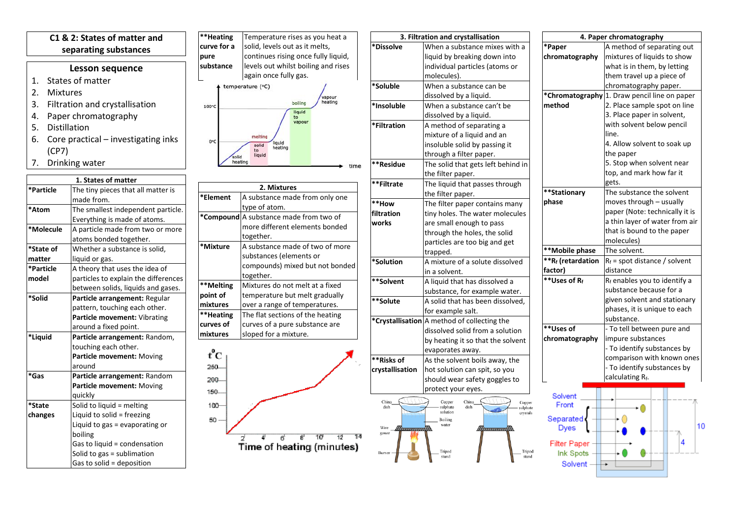## **C1 & 2: States of matter and separating substances**

## **Lesson sequence**

- 1. States of matter<br>2. Mixtures
- **Mixtures**
- 3. Filtration and crystallisation
- 4. Paper chromatography
- 5. Distillation
- 6. Core practical investigating inks (CP7)
- 7. Drinking water

| 1. States of matter |                                      |  |  |  |
|---------------------|--------------------------------------|--|--|--|
| *Particle           | The tiny pieces that all matter is   |  |  |  |
|                     | made from.                           |  |  |  |
| *Atom               | The smallest independent particle.   |  |  |  |
|                     | Everything is made of atoms.         |  |  |  |
| *Molecule           | A particle made from two or more     |  |  |  |
|                     | atoms bonded together.               |  |  |  |
| *State of           | Whether a substance is solid.        |  |  |  |
| matter              | liquid or gas.                       |  |  |  |
| *Particle           | A theory that uses the idea of       |  |  |  |
| model               | particles to explain the differences |  |  |  |
|                     | between solids, liquids and gases.   |  |  |  |
| *Solid              | Particle arrangement: Regular        |  |  |  |
|                     | pattern, touching each other.        |  |  |  |
|                     | Particle movement: Vibrating         |  |  |  |
|                     | around a fixed point.                |  |  |  |
| *Liquid             | Particle arrangement: Random,        |  |  |  |
|                     | touching each other.                 |  |  |  |
|                     | Particle movement: Moving            |  |  |  |
|                     | around                               |  |  |  |
| *Gas                | Particle arrangement: Random         |  |  |  |
|                     | Particle movement: Moving            |  |  |  |
|                     | quickly                              |  |  |  |
| *State              | Solid to liquid = melting            |  |  |  |
| changes             | Liquid to solid = freezing           |  |  |  |
|                     | Liquid to gas = evaporating or       |  |  |  |
|                     | boiling                              |  |  |  |
|                     | Gas to liquid = condensation         |  |  |  |
|                     | Solid to gas = sublimation           |  |  |  |
|                     | Gas to solid = deposition            |  |  |  |

**\*\*Heating**  Temperature rises as you heat a **curve for a**  solid, levels out as it melts, continues rising once fully liquid, **pure**  levels out whilst boiling and rises **substance** again once fully gas. temperature (°C)



tim

| 2. Mixtures |                                        |  |  |  |
|-------------|----------------------------------------|--|--|--|
| *Element    | A substance made from only one         |  |  |  |
|             | type of atom.                          |  |  |  |
|             | *Compound A substance made from two of |  |  |  |
|             | more different elements bonded         |  |  |  |
|             | together.                              |  |  |  |
| *Mixture    | A substance made of two of more        |  |  |  |
|             | substances (elements or                |  |  |  |
|             | compounds) mixed but not bonded        |  |  |  |
|             | together.                              |  |  |  |
| **Melting   | Mixtures do not melt at a fixed        |  |  |  |
| point of    | temperature but melt gradually         |  |  |  |
| mixtures    | over a range of temperatures.          |  |  |  |
| **Heating   | The flat sections of the heating       |  |  |  |
| curves of   | curves of a pure substance are         |  |  |  |
| mixtures    | sloped for a mixture.                  |  |  |  |



| 3. Filtration and crystallisation |                 | 4. Paper chromatography                              |                          |                                              |
|-----------------------------------|-----------------|------------------------------------------------------|--------------------------|----------------------------------------------|
|                                   | *Dissolve       | When a substance mixes with a                        | *Paper                   | A method of separating out                   |
|                                   |                 | liquid by breaking down into                         | chromatography           | mixtures of liquids to show                  |
|                                   |                 | individual particles (atoms or                       |                          | what is in them, by letting                  |
|                                   |                 | molecules).                                          |                          | them travel up a piece of                    |
|                                   | *Soluble        | When a substance can be                              |                          | chromatography paper.                        |
|                                   |                 | dissolved by a liquid.                               |                          | *Chromatography 1. Draw pencil line on paper |
|                                   | *Insoluble      | When a substance can't be                            | method                   | 2. Place sample spot on line                 |
|                                   |                 | dissolved by a liquid.                               |                          | 3. Place paper in solvent,                   |
|                                   | *Filtration     | A method of separating a                             |                          | with solvent below pencil                    |
|                                   |                 | mixture of a liquid and an                           |                          | line.                                        |
|                                   |                 | insoluble solid by passing it                        |                          | 4. Allow solvent to soak up                  |
|                                   |                 | through a filter paper.                              |                          | the paper                                    |
| e                                 | **Residue       | The solid that gets left behind in                   |                          | 5. Stop when solvent near                    |
|                                   |                 | the filter paper.                                    |                          | top, and mark how far it                     |
|                                   | **Filtrate      | The liquid that passes through                       |                          | gets.                                        |
|                                   |                 | the filter paper.                                    | **Stationary             | The substance the solvent                    |
|                                   | **How           | The filter paper contains many                       | phase                    | moves through - usually                      |
|                                   | filtration      | tiny holes. The water molecules                      |                          | paper (Note: technically it is               |
|                                   | works           | are small enough to pass                             |                          | a thin layer of water from air               |
|                                   |                 | through the holes, the solid                         |                          | that is bound to the paper                   |
|                                   |                 | particles are too big and get                        |                          | molecules)                                   |
|                                   |                 | trapped.                                             | **Mobile phase           | The solvent.                                 |
|                                   | *Solution       | A mixture of a solute dissolved                      | <b>**Rf</b> (retardation | $R_f$ = spot distance / solvent              |
|                                   |                 | in a solvent.                                        | factor)                  | distance                                     |
|                                   | **Solvent       | A liquid that has dissolved a                        | $*$ Uses of Rf           | Rf enables you to identify a                 |
|                                   |                 | substance, for example water.                        |                          | substance because for a                      |
|                                   | **Solute        | A solid that has been dissolved,                     |                          | given solvent and stationary                 |
|                                   |                 | for example salt.                                    |                          | phases, it is unique to each                 |
|                                   |                 | *Crystallisation A method of collecting the          |                          | substance.                                   |
|                                   |                 | dissolved solid from a solution                      | **Uses of                | - To tell between pure and                   |
|                                   |                 | by heating it so that the solvent                    | chromatography           | impure substances                            |
|                                   |                 | evaporates away.                                     |                          | - To identify substances by                  |
|                                   | **Risks of      | As the solvent boils away, the                       |                          | comparison with known ones                   |
|                                   | crystallisation | hot solution can spit, so you                        |                          | - To identify substances by                  |
|                                   |                 | should wear safety goggles to                        |                          | calculating Rf.                              |
|                                   |                 | protect your eyes.                                   |                          |                                              |
|                                   | China           | China<br>Copper<br>Copper                            | Solvent                  |                                              |
|                                   | dish            | sulphate<br>dish<br>sulphate<br>solution<br>crystals | Front                    |                                              |
|                                   |                 | Boiling                                              | Separated                |                                              |
|                                   | Wire<br>www.m   | water<br>fformunff)                                  | <b>Dyes</b>              |                                              |
|                                   | gauze           |                                                      |                          | 4                                            |
|                                   |                 | Tripod<br>Tripod                                     | Filter Paper             |                                              |
|                                   | Burner          | stand<br>stand                                       | Ink Spots                |                                              |
|                                   |                 |                                                      | <b>Solvant</b>           |                                              |

10